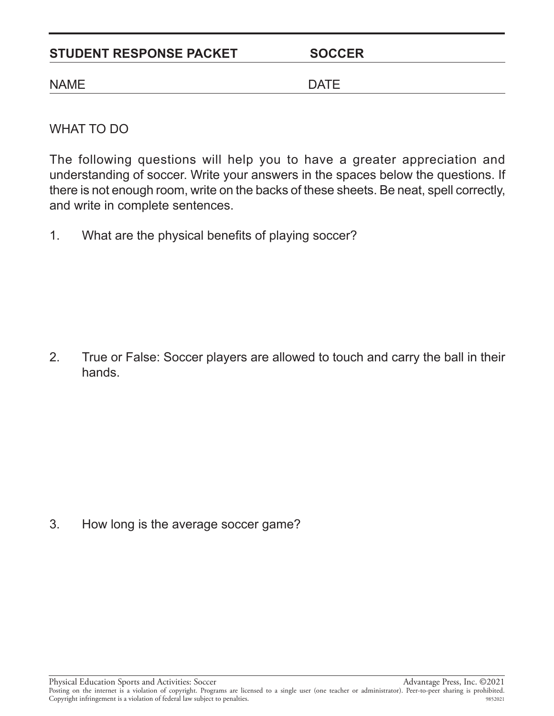## STUDENT RESPONSE PACKET SOCCER

## NAME DATE

WHAT TO DO

The following questions will help you to have a greater appreciation and understanding of soccer. Write your answers in the spaces below the questions. If there is not enough room, write on the backs of these sheets. Be neat, spell correctly, and write in complete sentences.

1. What are the physical benefits of playing soccer?

2. True or False: Soccer players are allowed to touch and carry the ball in their hands.

3. How long is the average soccer game?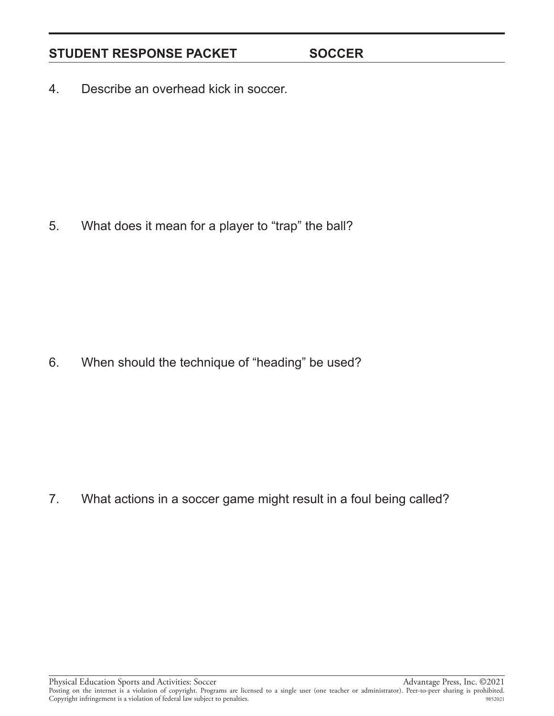## STUDENT RESPONSE PACKET SOCCER

4. Describe an overhead kick in soccer.

5. What does it mean for a player to "trap" the ball?

6. When should the technique of "heading" be used?

7. What actions in a soccer game might result in a foul being called?